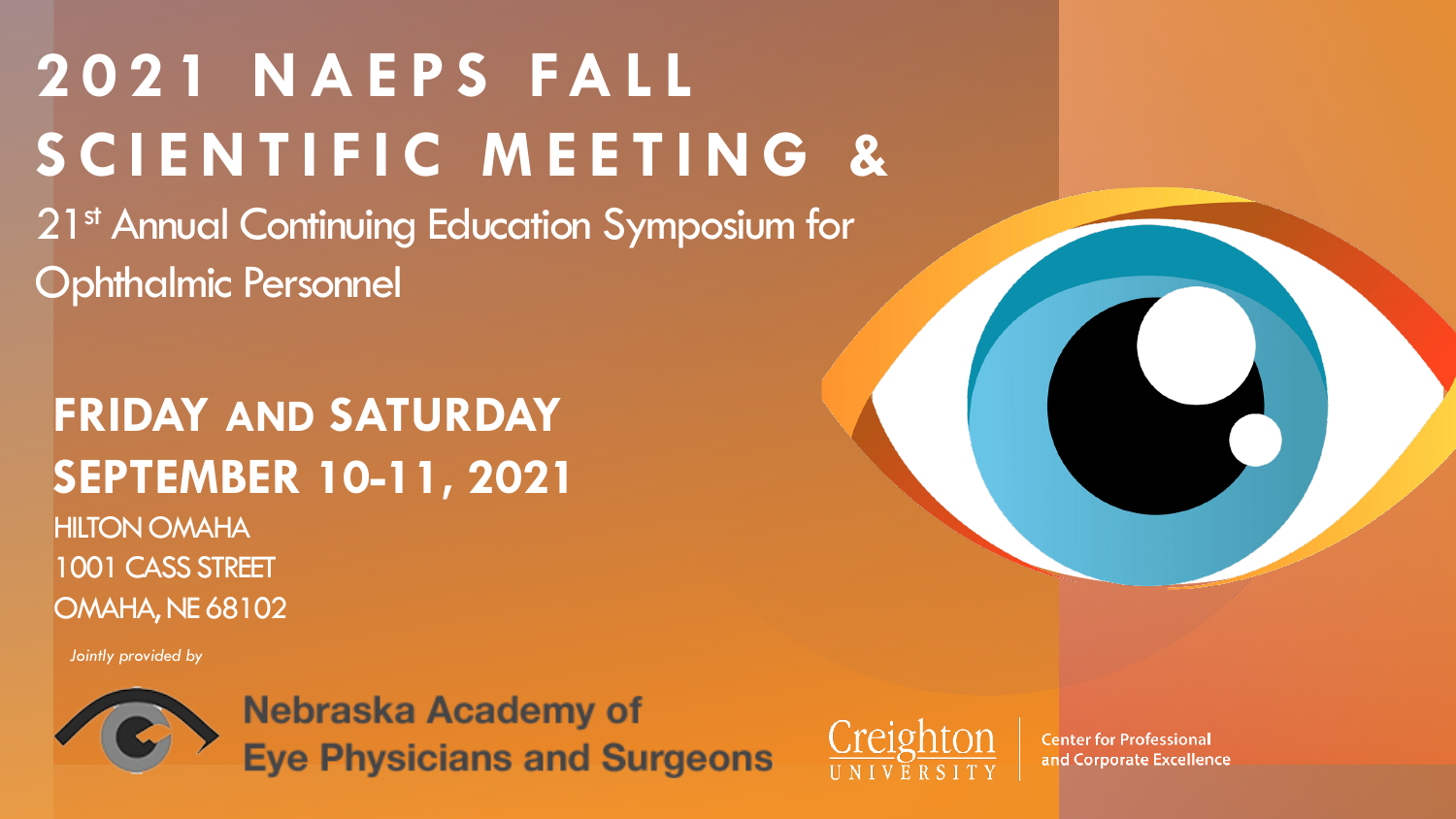# **2021 NAEPS FALL SCIENTIFIC MEETING &**

21<sup>st</sup> Annual Continuing Education Symposium for Ophthalmic Personnel

# **FRIDAY AND SATURDAY SEPTEMBER 10-11, 2021** HILTON OMAHA 1001 CASS STREET OMAHA, NE 68102

*Jointly provided by*



Nebraska Academy of **Eye Physicians and Surgeons** 



**Center for Professional** and Corporate Excellence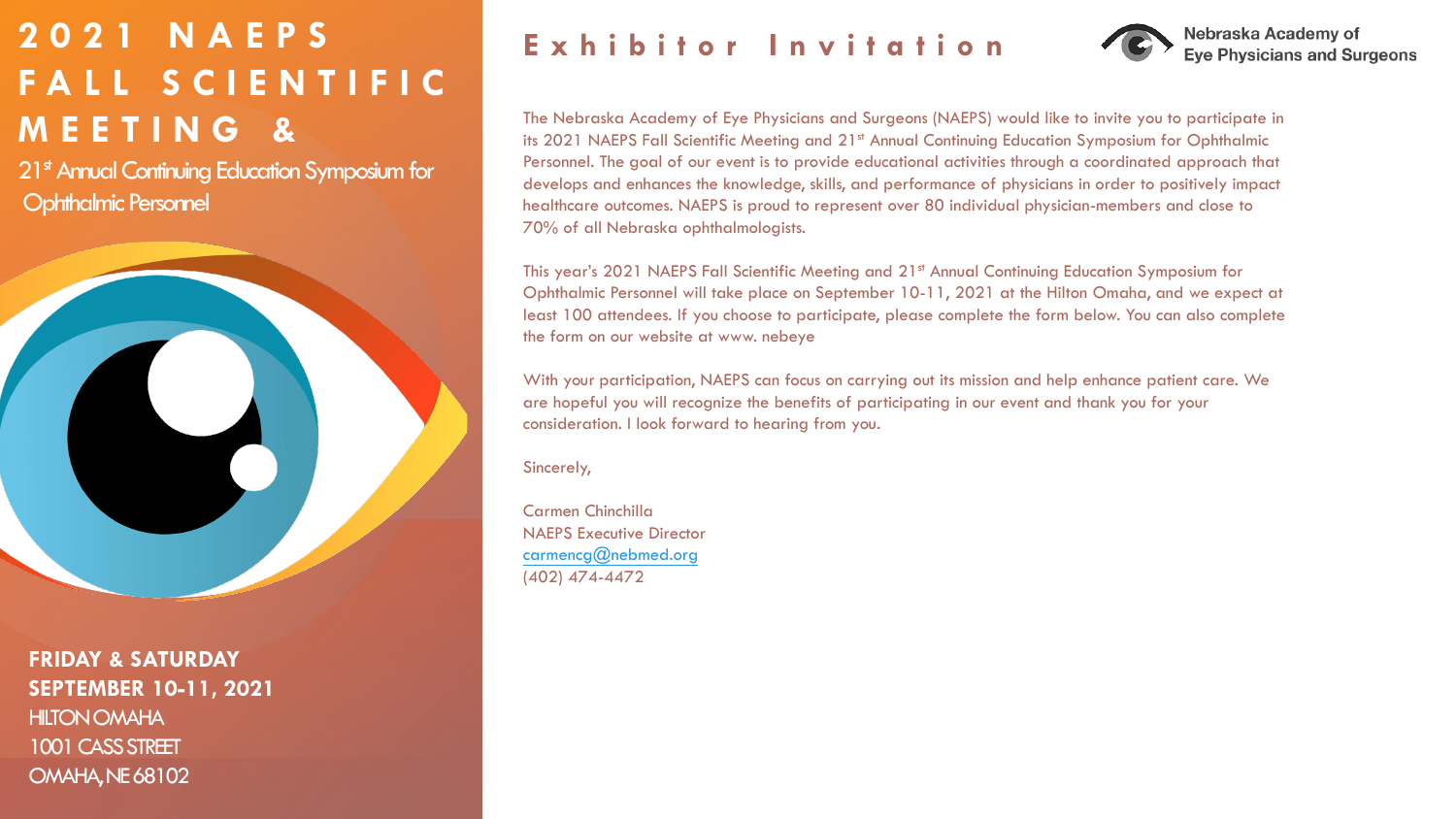# **2021 NAEPS FALL SCIENTIFIC MEETING &**

21<sup>st</sup> Annual Continuing Education Symposium for Ophthalmic Personnel



**FRIDAY & SATURDAY SEPTEMBER 10-11, 2021** HILTON OMAHA 1001 CASS STREET OMAHA, NE 68102

### **Exhibitor Invitation**



The Nebraska Academy of Eye Physicians and Surgeons (NAEPS) would like to invite you to participate in its 2021 NAEPS Fall Scientific Meeting and 21<sup>st</sup> Annual Continuing Education Symposium for Ophthalmic Personnel. The goal of our event is to provide educational activities through a coordinated approach that develops and enhances the knowledge, skills, and performance of physicians in order to positively impact healthcare outcomes. NAEPS is proud to represent over 80 individual physician-members and close to 70% of all Nebraska ophthalmologists.

This year's 2021 NAEPS Fall Scientific Meeting and 21st Annual Continuing Education Symposium for Ophthalmic Personnel will take place on September 10-11, 2021 at the Hilton Omaha, and we expect at least 100 attendees. If you choose to participate, please complete the form below. You can also complete the form on our website at www. nebeye

With your participation, NAEPS can focus on carrying out its mission and help enhance patient care. We are hopeful you will recognize the benefits of participating in our event and thank you for your consideration. I look forward to hearing from you.

Sincerely,

Carmen Chinchilla NAEPS Executive Director [carmencg@nebmed.org](mailto:carmencg@nebmed.org) (402) 474-4472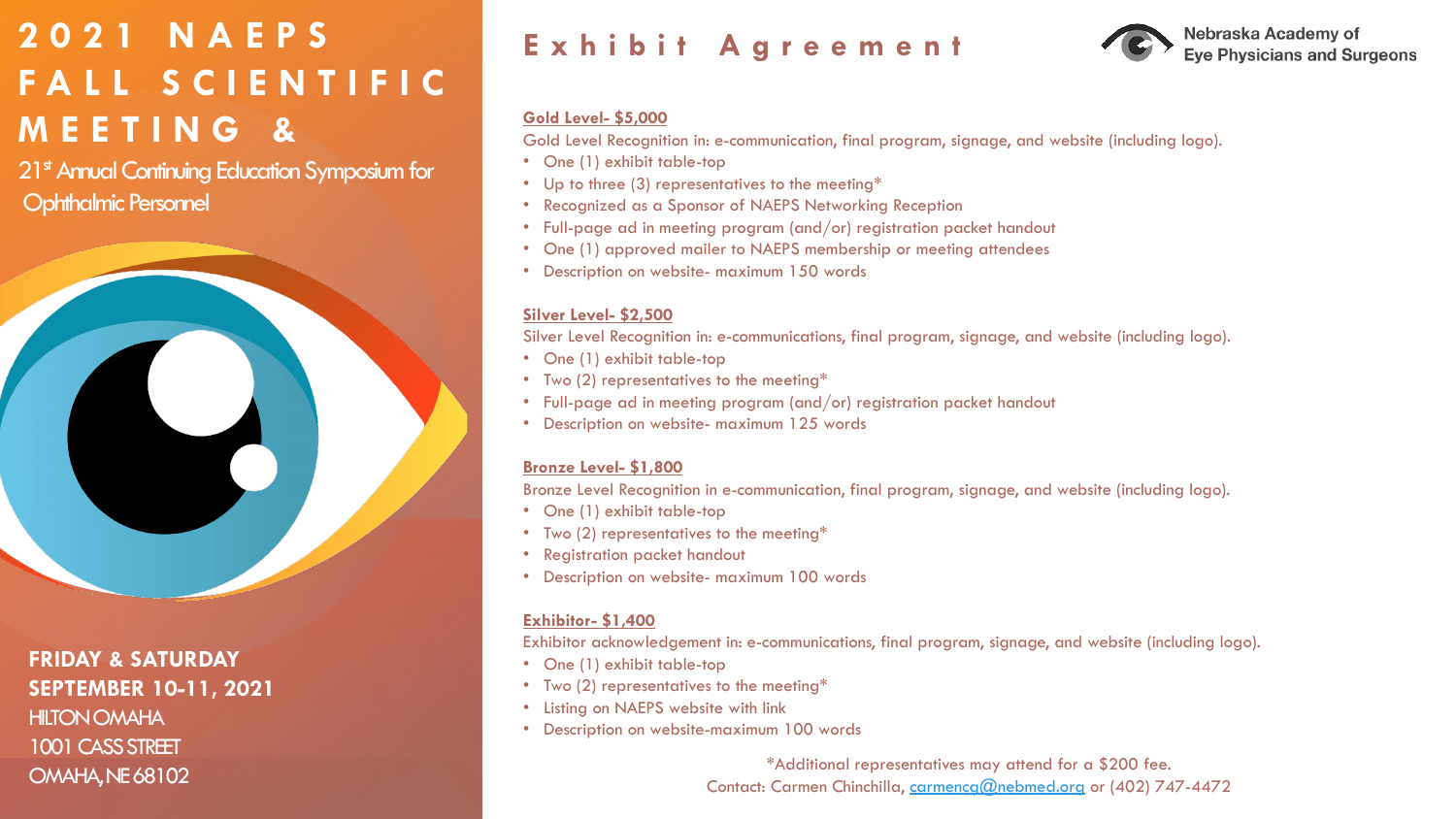# **2021 NAEPS FALL SCIENTIFIC MEETING &**

21<sup>st</sup> Annual Continuing Education Symposium for **Ophthalmic Personnel** 



**FRIDAY & SATURDAY SEPTEMBER 10-11, 2021** HILTON OMAHA 1001 CASS STREET OMAHA, NE 68102

### **Exhibit Agreement**



#### **Gold Level- \$5,000**

Gold Level Recognition in: e-communication, final program, signage, and website (including logo).

- One (1) exhibit table-top
- Up to three (3) representatives to the meeting\*
- Recognized as a Sponsor of NAEPS Networking Reception
- Full-page ad in meeting program (and/or) registration packet handout
- One (1) approved mailer to NAEPS membership or meeting attendees
- Description on website- maximum 150 words

#### **Silver Level- \$2,500**

Silver Level Recognition in: e-communications, final program, signage, and website (including logo).

- One (1) exhibit table-top
- Two (2) representatives to the meeting\*
- Full-page ad in meeting program (and/or) registration packet handout
- Description on website- maximum 125 words

#### **Bronze Level- \$1,800**

Bronze Level Recognition in e-communication, final program, signage, and website (including logo).

- One (1) exhibit table-top
- Two (2) representatives to the meeting\*
- Registration packet handout
- Description on website- maximum 100 words

#### **Exhibitor- \$1,400**

Exhibitor acknowledgement in: e-communications, final program, signage, and website (including logo).

- One (1) exhibit table-top
- Two (2) representatives to the meeting\*
- Listing on NAEPS website with link
- Description on website-maximum 100 words

\*Additional representatives may attend for a \$200 fee. Contact: Carmen Chinchilla, [carmencg@nebmed.org](mailto:carmencg@nebmed.org) or (402) 747-4472